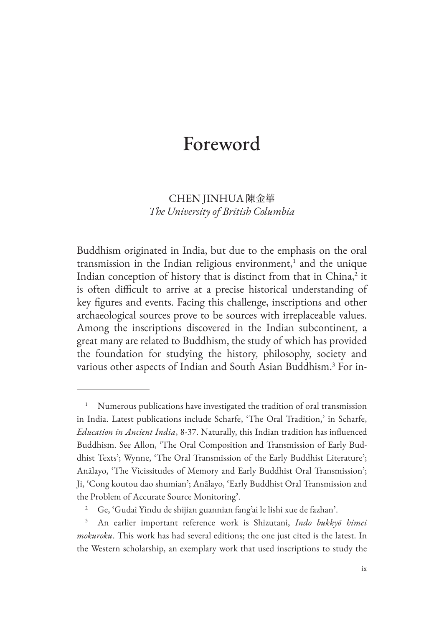## Foreword

## CHEN JINHUA 陳金華 *The University of British Columbia*

Buddhism originated in India, but due to the emphasis on the oral transmission in the Indian religious environment,<sup>1</sup> and the unique Indian conception of history that is distinct from that in China,<sup>2</sup> it is often difficult to arrive at a precise historical understanding of key figures and events. Facing this challenge, inscriptions and other archaeological sources prove to be sources with irreplaceable values. Among the inscriptions discovered in the Indian subcontinent, a great many are related to Buddhism, the study of which has provided the foundation for studying the history, philosophy, society and various other aspects of Indian and South Asian Buddhism.<sup>3</sup> For in-

Numerous publications have investigated the tradition of oral transmission in India. Latest publications include Scharfe, 'The Oral Tradition,' in Scharfe, *Education in Ancient India*, 8-37. Naturally, this Indian tradition has influenced Buddhism. See Allon, 'The Oral Composition and Transmission of Early Buddhist Texts'; Wynne, 'The Oral Transmission of the Early Buddhist Literature'; Anālayo, 'The Vicissitudes of Memory and Early Buddhist Oral Transmission'; Ji, 'Cong koutou dao shumian'; Anālayo, 'Early Buddhist Oral Transmission and the Problem of Accurate Source Monitoring'.

<sup>2</sup> Ge, 'Gudai Yindu de shijian guannian fang'ai le lishi xue de fazhan'.

<sup>3</sup> An earlier important reference work is Shizutani, *Indo bukkyō himei mokuroku*. This work has had several editions; the one just cited is the latest. In the Western scholarship, an exemplary work that used inscriptions to study the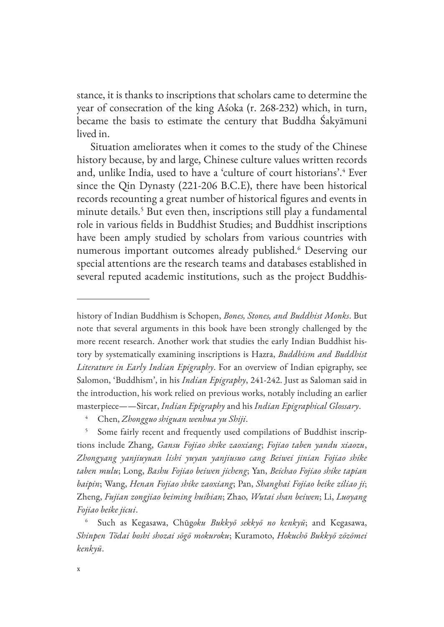stance, it is thanks to inscriptions that scholars came to determine the year of consecration of the king Aśoka (r. 268-232) which, in turn, became the basis to estimate the century that Buddha Śakyāmuni lived in.

Situation ameliorates when it comes to the study of the Chinese history because, by and large, Chinese culture values written records and, unlike India, used to have a 'culture of court historians'.<sup>4</sup> Ever since the Qin Dynasty (221-206 B.C.E), there have been historical records recounting a great number of historical figures and events in minute details.<sup>5</sup> But even then, inscriptions still play a fundamental role in various fields in Buddhist Studies; and Buddhist inscriptions have been amply studied by scholars from various countries with numerous important outcomes already published.6 Deserving our special attentions are the research teams and databases established in several reputed academic institutions, such as the project Buddhis-

history of Indian Buddhism is Schopen, *Bones, Stones, and Buddhist Monks*. But note that several arguments in this book have been strongly challenged by the more recent research. Another work that studies the early Indian Buddhist history by systematically examining inscriptions is Hazra, *Buddhism and Buddhist Literature in Early Indian Epigraphy*. For an overview of Indian epigraphy, see Salomon, 'Buddhism', in his *Indian Epigraphy*, 241-242. Just as Saloman said in the introduction, his work relied on previous works, notably including an earlier masterpiece——Sircar, *Indian Epigraphy* and his *Indian Epigraphical Glossary*.

<sup>4</sup> Chen, *Zhongguo shiguan wenhua yu Shiji*.

<sup>5</sup> Some fairly recent and frequently used compilations of Buddhist inscriptions include Zhang, *Gansu Fojiao shike zaoxiang*; *Fojiao taben yandu xiaozu*, *Zhongyang yanjiuyuan lishi yuyan yanjiusuo cang Beiwei jinian Fojiao shike taben mulu*; Long, *Bashu Fojiao beiwen jicheng*; Yan, *Beichao Fojiao shike tapian baipin*; Wang, *Henan Fojiao shike zaoxiang*; Pan, *Shanghai Fojiao beike ziliao ji*; Zheng, *Fujian zongjiao beiming huibian*; Zhao, *Wutai shan beiwen*; Li, *Luoyang Fojiao beike jicui*.

<sup>6</sup> Such as Kegasawa, Chūg*oku Bukkyō sekkyō no kenkyū*; and Kegasawa, *Shinpen Tōdai boshi shozai sōgō mokuroku*; Kuramoto, *Hokuchō Bukkyō zōzōmei kenkyū*.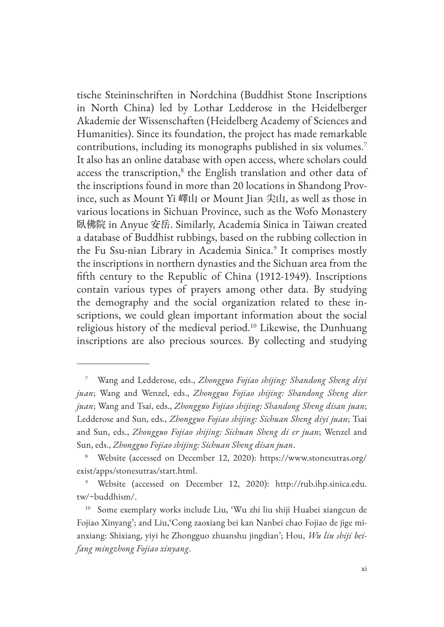tische Steininschriften in Nordchina (Buddhist Stone Inscriptions in North China) led by Lothar Ledderose in the Heidelberger Akademie der Wissenschaften (Heidelberg Academy of Sciences and Humanities). Since its foundation, the project has made remarkable contributions, including its monographs published in six volumes.<sup>7</sup> It also has an online database with open access, where scholars could access the transcription,<sup>8</sup> the English translation and other data of the inscriptions found in more than 20 locations in Shandong Province, such as Mount Yi 嶧山 or Mount Jian 尖山, as well as those in various locations in Sichuan Province, such as the Wofo Monastery 臥佛院 in Anyue 安岳. Similarly, Academia Sinica in Taiwan created a database of Buddhist rubbings, based on the rubbing collection in the Fu Ssu-nian Library in Academia Sinica.<sup>9</sup> It comprises mostly the inscriptions in northern dynasties and the Sichuan area from the fifth century to the Republic of China (1912-1949). Inscriptions contain various types of prayers among other data. By studying the demography and the social organization related to these inscriptions, we could glean important information about the social religious history of the medieval period.10 Likewise, the Dunhuang inscriptions are also precious sources. By collecting and studying

<sup>7</sup> Wang and Ledderose, eds., *Zhongguo Fojiao shijing: Shandong Sheng diyi juan*; Wang and Wenzel, eds., *Zhongguo Fojiao shijing: Shandong Sheng dier juan*; Wang and Tsai, eds., *Zhongguo Fojiao shijing: Shandong Sheng disan juan*; Ledderose and Sun, eds., *Zhongguo Fojiao shijing: Sichuan Sheng diyi juan*; Tsai and Sun, eds., *Zhongguo Fojiao shijing: Sichuan Sheng di er juan*; Wenzel and Sun, eds., *Zhongguo Fojiao shijing: Sichuan Sheng disan juan*.

<sup>8</sup> Website (accessed on December 12, 2020): https://www.stonesutras.org/ exist/apps/stonesutras/start.html.

<sup>9</sup> Website (accessed on December 12, 2020): http://rub.ihp.sinica.edu. tw/~buddhism/.

<sup>10</sup> Some exemplary works include Liu, 'Wu zhi liu shiji Huabei xiangcun de Fojiao Xinyang'; and Liu,'Cong zaoxiang bei kan Nanbei chao Fojiao de jige mianxiang: Shixiang, yiyi he Zhongguo zhuanshu jingdian'; Hou, *Wu liu shiji beifang mingzhong Fojiao xinyang*.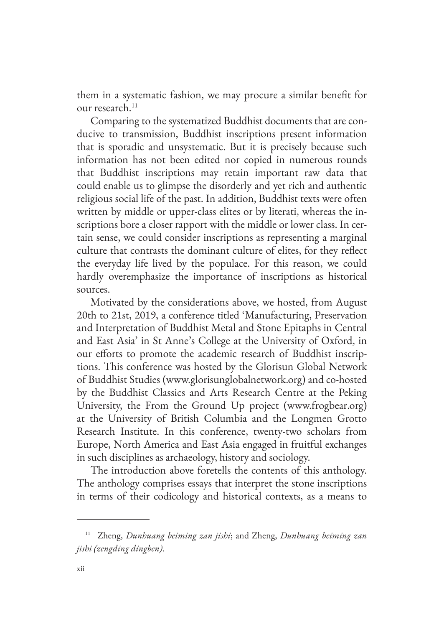them in a systematic fashion, we may procure a similar benefit for our research.<sup>11</sup>

Comparing to the systematized Buddhist documents that are conducive to transmission, Buddhist inscriptions present information that is sporadic and unsystematic. But it is precisely because such information has not been edited nor copied in numerous rounds that Buddhist inscriptions may retain important raw data that could enable us to glimpse the disorderly and yet rich and authentic religious social life of the past. In addition, Buddhist texts were often written by middle or upper-class elites or by literati, whereas the inscriptions bore a closer rapport with the middle or lower class. In certain sense, we could consider inscriptions as representing a marginal culture that contrasts the dominant culture of elites, for they reflect the everyday life lived by the populace. For this reason, we could hardly overemphasize the importance of inscriptions as historical sources.

Motivated by the considerations above, we hosted, from August 20th to 21st, 2019, a conference titled 'Manufacturing, Preservation and Interpretation of Buddhist Metal and Stone Epitaphs in Central and East Asia' in St Anne's College at the University of Oxford, in our efforts to promote the academic research of Buddhist inscriptions. This conference was hosted by the Glorisun Global Network of Buddhist Studies (www.glorisunglobalnetwork.org) and co-hosted by the Buddhist Classics and Arts Research Centre at the Peking University, the From the Ground Up project (www.frogbear.org) at the University of British Columbia and the Longmen Grotto Research Institute. In this conference, twenty-two scholars from Europe, North America and East Asia engaged in fruitful exchanges in such disciplines as archaeology, history and sociology.

The introduction above foretells the contents of this anthology. The anthology comprises essays that interpret the stone inscriptions in terms of their codicology and historical contexts, as a means to

<sup>11</sup> Zheng, *Dunhuang beiming zan jishi*; and Zheng, *Dunhuang beiming zan jishi (zengding dingben)*.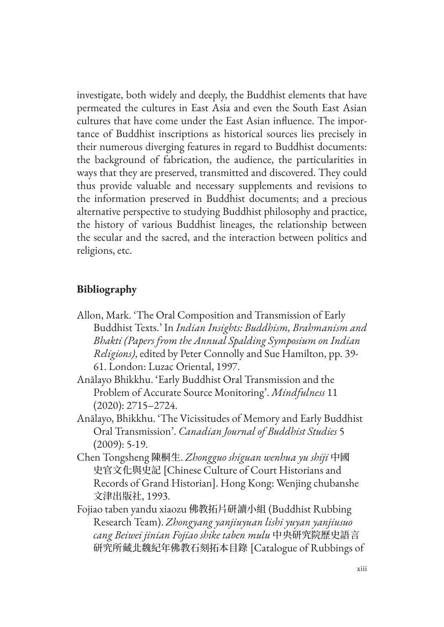investigate, both widely and deeply, the Buddhist elements that have permeated the cultures in East Asia and even the South East Asian cultures that have come under the East Asian influence. The importance of Buddhist inscriptions as historical sources lies precisely in their numerous diverging features in regard to Buddhist documents: the background of fabrication, the audience, the particularities in ways that they are preserved, transmitted and discovered. They could thus provide valuable and necessary supplements and revisions to the information preserved in Buddhist documents; and a precious alternative perspective to studying Buddhist philosophy and practice, the history of various Buddhist lineages, the relationship between the secular and the sacred, and the interaction between politics and religions, etc.

## **Bibliography**

- Allon, Mark. 'The Oral Composition and Transmission of Early Buddhist Texts.' In *Indian Insights: Buddhism, Brahmanism and Bhakti (Papers from the Annual Spalding Symposium on Indian Religions)*, edited by Peter Connolly and Sue Hamilton, pp. 39- 61. London: Luzac Oriental, 1997.
- Anālayo Bhikkhu. 'Early Buddhist Oral Transmission and the Problem of Accurate Source Monitoring'. *Mindfulness* 11 (2020): 2715–2724.
- Anālayo, Bhikkhu. 'The Vicissitudes of Memory and Early Buddhist Oral Transmission'. *Canadian Journal of Buddhist Studies* 5 (2009): 5-19.
- Chen Tongsheng 陳桐生. *Zhongguo shiguan wenhua yu shiji* 中國 史官文化與史記 [Chinese Culture of Court Historians and Records of Grand Historian]. Hong Kong: Wenjing chubanshe 文津出版社, 1993.
- Fojiao taben yandu xiaozu 佛教拓片研讀小組 (Buddhist Rubbing Research Team). *Zhongyang yanjiuyuan lishi yuyan yanjiusuo cang Beiwei jinian Fojiao shike taben mulu* 中央研究院歷史語言 研究所藏北魏紀年佛教石刻拓本目錄 [Catalogue of Rubbings of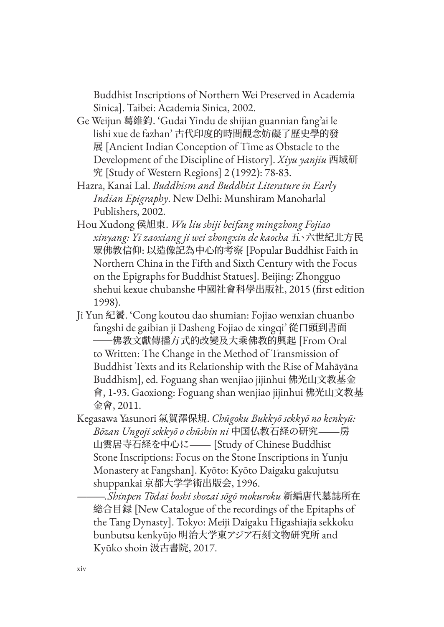Buddhist Inscriptions of Northern Wei Preserved in Academia Sinica]. Taibei: Academia Sinica, 2002.

- Ge Weijun 葛維鈞. 'Gudai Yindu de shijian guannian fang'ai le lishi xue de fazhan' 古代印度的時間觀念妨礙了歷史學的發 展 [Ancient Indian Conception of Time as Obstacle to the Development of the Discipline of History]. *Xiyu yanjiu* 西域研 究 [Study of Western Regions] 2 (1992): 78-83.
- Hazra, Kanai Lal. *Buddhism and Buddhist Literature in Early Indian Epigraphy*. New Delhi: Munshiram Manoharlal Publishers, 2002.
- Hou Xudong 侯旭東. *Wu liu shiji beifang mingzhong Fojiao xinyang: Yi zaoxiang ji wei zhongxin de kaocha* 五、六世紀北方民 眾佛教信仰: 以造像記為中心的考察 [Popular Buddhist Faith in Northern China in the Fifth and Sixth Century with the Focus on the Epigraphs for Buddhist Statues]. Beijing: Zhongguo shehui kexue chubanshe 中國社會科學出版社, 2015 (first edition 1998).
- Ji Yun 紀贇. 'Cong koutou dao shumian: Fojiao wenxian chuanbo fangshi de gaibian ji Dasheng Fojiao de xingqi' 從口頭到書面 -佛教文獻傳播方式的改變及大乘佛教的興起 [From Oral to Written: The Change in the Method of Transmission of Buddhist Texts and its Relationship with the Rise of Mahāyāna Buddhism], ed. Foguang shan wenjiao jijinhui 佛光山文教基金 會, 1-93. Gaoxiong: Foguang shan wenjiao jijinhui 佛光山文教基 金會, 2011.
- Kegasawa Yasunori 氣賀澤保規. *Chūgoku Bukkyō sekkyō no kenkyū: Bōzan Ungoji sekkyō o chūshin ni* 中国仏教石経の研究―房 山雲居寺石経を中心に― [Study of Chinese Buddhist Stone Inscriptions: Focus on the Stone Inscriptions in Yunju Monastery at Fangshan]. Kyōto: Kyōto Daigaku gakujutsu shuppankai 京都大学学術出版会, 1996.
	- ———.*Shinpen Tōdai boshi shozai sōgō mokuroku* 新編唐代墓誌所在 総合目録 [New Catalogue of the recordings of the Epitaphs of the Tang Dynasty]. Tokyo: Meiji Daigaku Higashiajia sekkoku bunbutsu kenkyūjo 明治大学東アジア石刻文物研究所 and Kyūko shoin 汲古書院, 2017.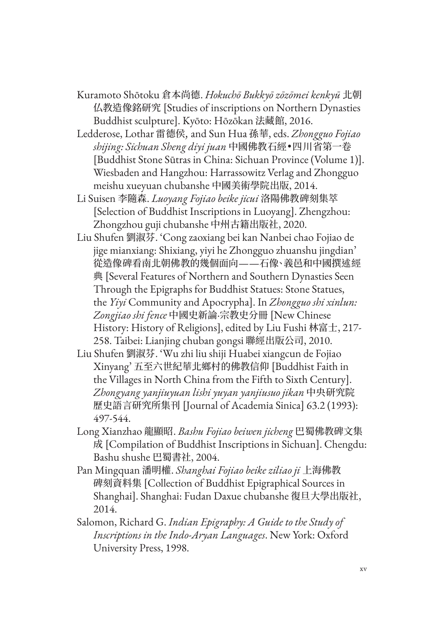- Kuramoto Shōtoku 倉本尚德. *Hokuchō Bukkyō zōzōmei kenkyū* 北朝 仏教造像銘研究 [Studies of inscriptions on Northern Dynasties Buddhist sculpture]. Kyōto: Hōzōkan 法藏館, 2016.
- Ledderose, Lothar 雷德侯, and Sun Hua 孫華, eds. *Zhongguo Fojiao shijing: Sichuan Sheng diyi juan* 中國佛教石經•四川省第一卷 [Buddhist Stone Sūtras in China: Sichuan Province (Volume 1)]. Wiesbaden and Hangzhou: Harrassowitz Verlag and Zhongguo meishu xueyuan chubanshe 中國美術學院出版, 2014.
- Li Suisen 李隨森. *Luoyang Fojiao beike jicui* 洛陽佛教碑刻集萃 [Selection of Buddhist Inscriptions in Luoyang]. Zhengzhou: Zhongzhou guji chubanshe 中州古籍出版社, 2020.
- Liu Shufen 劉淑芬. 'Cong zaoxiang bei kan Nanbei chao Fojiao de jige mianxiang: Shixiang, yiyi he Zhongguo zhuanshu jingdian' 從造像碑看南北朝佛教的幾個面向——石像、義邑和中國撰述經 典 [Several Features of Northern and Southern Dynasties Seen Through the Epigraphs for Buddhist Statues: Stone Statues, the *Yiyi* Community and Apocrypha]. In *Zhongguo shi xinlun: Zongjiao shi fence* 中國史新論·宗教史分冊 [New Chinese History: History of Religions], edited by Liu Fushi 林富士, 217- 258. Taibei: Lianjing chuban gongsi 聯經出版公司, 2010.
- Liu Shufen 劉淑芬. 'Wu zhi liu shiji Huabei xiangcun de Fojiao Xinyang' 五至六世紀華北鄉村的佛教信仰 [Buddhist Faith in the Villages in North China from the Fifth to Sixth Century]. *Zhongyang yanjiuyuan lishi yuyan yanjiusuo jikan* 中央研究院 歷史語言研究所集刊 [Journal of Academia Sinica] 63.2 (1993): 497-544.
- Long Xianzhao 龍顯昭. *Bashu Fojiao beiwen jicheng* 巴蜀佛教碑文集 成 [Compilation of Buddhist Inscriptions in Sichuan]. Chengdu: Bashu shushe 巴蜀書社, 2004.
- Pan Mingquan 潘明權. *Shanghai Fojiao beike ziliao ji* 上海佛教 碑刻資料集 [Collection of Buddhist Epigraphical Sources in Shanghai]. Shanghai: Fudan Daxue chubanshe 復旦大學出版社, 2014.
- Salomon, Richard G. *Indian Epigraphy: A Guide to the Study of Inscriptions in the Indo-Aryan Languages*. New York: Oxford University Press, 1998.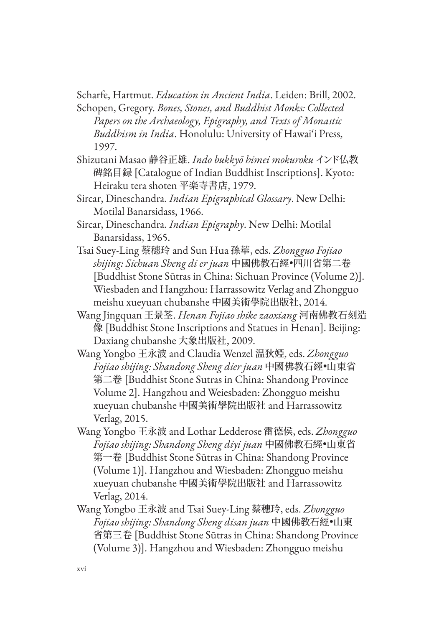Scharfe, Hartmut. *Education in Ancient India*. Leiden: Brill, 2002.

Schopen, Gregory. *Bones, Stones, and Buddhist Monks: Collected Papers on the Archaeology, Epigraphy, and Texts of Monastic Buddhism in India*. Honolulu: University of Hawai'i Press, 1997.

- Shizutani Masao 静谷正雄. *Indo bukkyō himei mokuroku*インド仏教 碑銘目録 [Catalogue of Indian Buddhist Inscriptions]. Kyoto: Heiraku tera shoten 平楽寺書店, 1979.
- Sircar, Dineschandra. *Indian Epigraphical Glossary*. New Delhi: Motilal Banarsidass, 1966.
- Sircar, Dineschandra. *Indian Epigraphy*. New Delhi: Motilal Banarsidass, 1965.
- Tsai Suey-Ling 蔡穗玲 and Sun Hua 孫華, eds. *Zhongguo Fojiao shijing: Sichuan Sheng di er juan* 中國佛教石經•四川省第二卷 [Buddhist Stone Sūtras in China: Sichuan Province (Volume 2)]. Wiesbaden and Hangzhou: Harrassowitz Verlag and Zhongguo meishu xueyuan chubanshe 中國美術學院出版社, 2014.
- Wang Jingquan 王景荃. *Henan Fojiao shike zaoxiang* 河南佛教石刻造 像 [Buddhist Stone Inscriptions and Statues in Henan]. Beijing: Daxiang chubanshe 大象出版社, 2009.
- Wang Yongbo 王永波 and Claudia Wenzel 温狄婭, eds. *Zhongguo Fojiao shijing: Shandong Sheng dier juan* 中國佛教石經•山東省 第二卷 [Buddhist Stone Sutras in China: Shandong Province Volume 2]. Hangzhou and Weiesbaden: Zhongguo meishu xueyuan chubanshe 中國美術學院出版社 and Harrassowitz Verlag, 2015.
- Wang Yongbo 王永波 and Lothar Ledderose 雷德侯, eds. *Zhongguo Fojiao shijing: Shandong Sheng diyi juan* 中國佛教石經•山東省 第一卷 [Buddhist Stone Sūtras in China: Shandong Province (Volume 1)]. Hangzhou and Wiesbaden: Zhongguo meishu xueyuan chubanshe 中國美術學院出版社 and Harrassowitz Verlag, 2014.
- Wang Yongbo 王永波 and Tsai Suey-Ling 蔡穗玲, eds. *Zhongguo Fojiao shijing: Shandong Sheng disan juan* 中國佛教石經•山東 省第三卷 [Buddhist Stone Sūtras in China: Shandong Province (Volume 3)]. Hangzhou and Wiesbaden: Zhongguo meishu